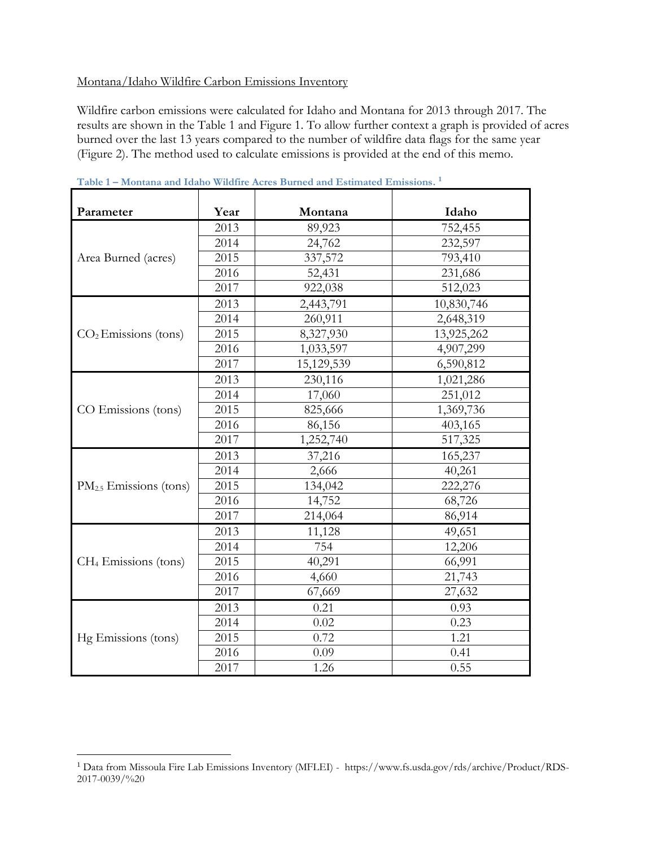## Montana/Idaho Wildfire Carbon Emissions Inventory

Wildfire carbon emissions were calculated for Idaho and Montana for 2013 through 2017. The results are shown in the Table 1 and Figure 1. To allow further context a graph is provided of acres burned over the last 13 years compared to the number of wildfire data flags for the same year (Figure 2). The method used to calculate emissions is provided at the end of this memo.

| Parameter                          | Year | Montana    | Idaho      |
|------------------------------------|------|------------|------------|
| Area Burned (acres)                | 2013 | 89,923     | 752,455    |
|                                    | 2014 | 24,762     | 232,597    |
|                                    | 2015 | 337,572    | 793,410    |
|                                    | 2016 | 52,431     | 231,686    |
|                                    | 2017 | 922,038    | 512,023    |
| $CO2$ Emissions (tons)             | 2013 | 2,443,791  | 10,830,746 |
|                                    | 2014 | 260,911    | 2,648,319  |
|                                    | 2015 | 8,327,930  | 13,925,262 |
|                                    | 2016 | 1,033,597  | 4,907,299  |
|                                    | 2017 | 15,129,539 | 6,590,812  |
| CO Emissions (tons)                | 2013 | 230,116    | 1,021,286  |
|                                    | 2014 | 17,060     | 251,012    |
|                                    | 2015 | 825,666    | 1,369,736  |
|                                    | 2016 | 86,156     | 403,165    |
|                                    | 2017 | 1,252,740  | 517,325    |
| PM <sub>2.5</sub> Emissions (tons) | 2013 | 37,216     | 165,237    |
|                                    | 2014 | 2,666      | 40,261     |
|                                    | 2015 | 134,042    | 222,276    |
|                                    | 2016 | 14,752     | 68,726     |
|                                    | 2017 | 214,064    | 86,914     |
| CH <sub>4</sub> Emissions (tons)   | 2013 | 11,128     | 49,651     |
|                                    | 2014 | 754        | 12,206     |
|                                    | 2015 | 40,291     | 66,991     |
|                                    | 2016 | 4,660      | 21,743     |
|                                    | 2017 | 67,669     | 27,632     |
| Hg Emissions (tons)                | 2013 | 0.21       | 0.93       |
|                                    | 2014 | 0.02       | 0.23       |
|                                    | 2015 | 0.72       | 1.21       |
|                                    | 2016 | 0.09       | 0.41       |
|                                    | 2017 | 1.26       | 0.55       |

**Table 1 – Montana and Idaho Wildfire Acres Burned and Estimated Emissions. 1**

 $\overline{a}$ 

 Data from Missoula Fire Lab Emissions Inventory (MFLEI) - https://www.fs.usda.gov/rds/archive/Product/RDS-2017-0039/%20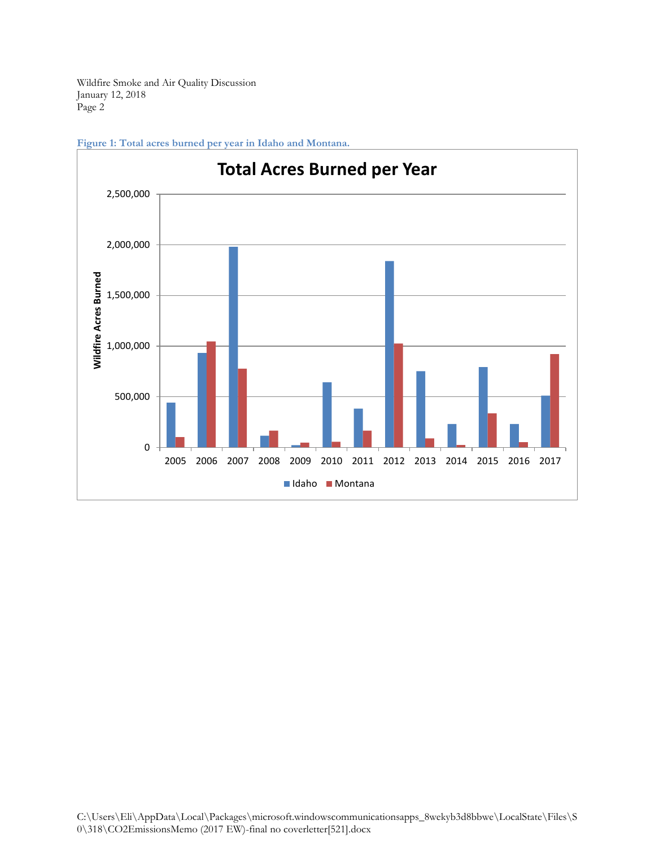

**Figure 1: Total acres burned per year in Idaho and Montana.**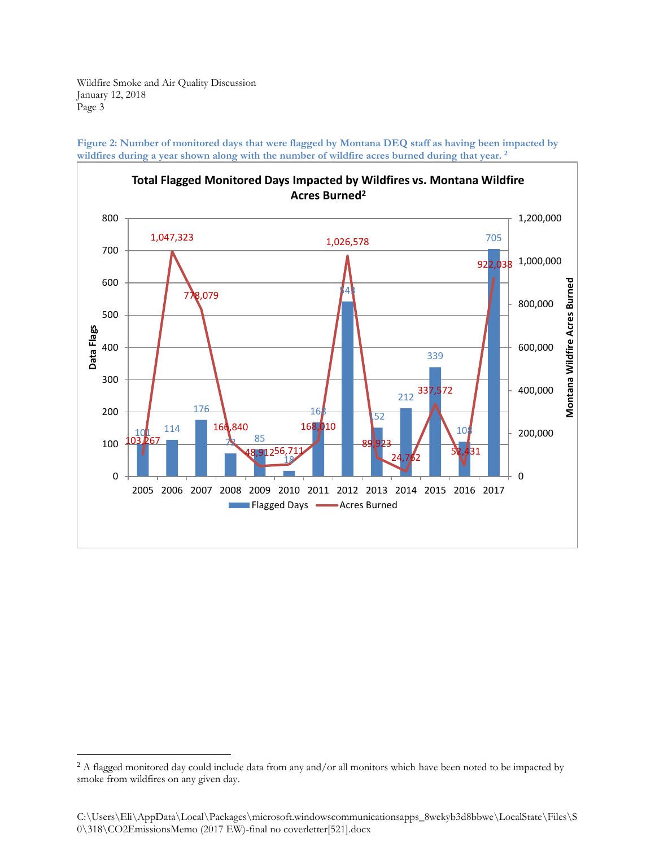$\overline{a}$ 



**Figure 2: Number of monitored days that were flagged by Montana DEQ staff as having been impacted by wildfires during a year shown along with the number of wildfire acres burned during that year. <sup>2</sup>**

<sup>&</sup>lt;sup>2</sup> A flagged monitored day could include data from any and/or all monitors which have been noted to be impacted by smoke from wildfires on any given day.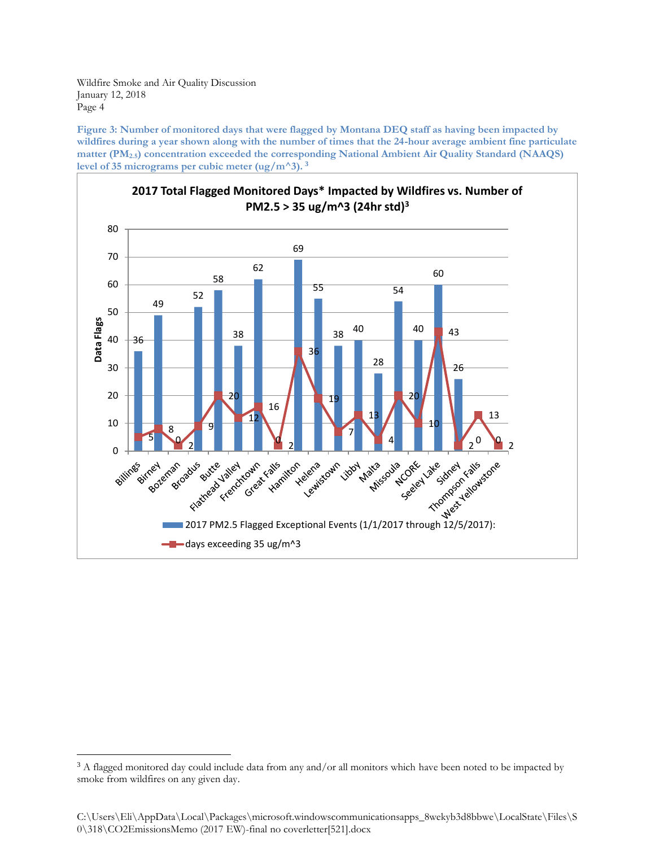$\overline{a}$ 

**Figure 3: Number of monitored days that were flagged by Montana DEQ staff as having been impacted by wildfires during a year shown along with the number of times that the 24-hour average ambient fine particulate matter (PM2.5) concentration exceeded the corresponding National Ambient Air Quality Standard (NAAQS)**  level of 35 micrograms per cubic meter  $(\frac{ug}{m^3})$ .<sup>3</sup>



<sup>&</sup>lt;sup>3</sup> A flagged monitored day could include data from any and/or all monitors which have been noted to be impacted by smoke from wildfires on any given day.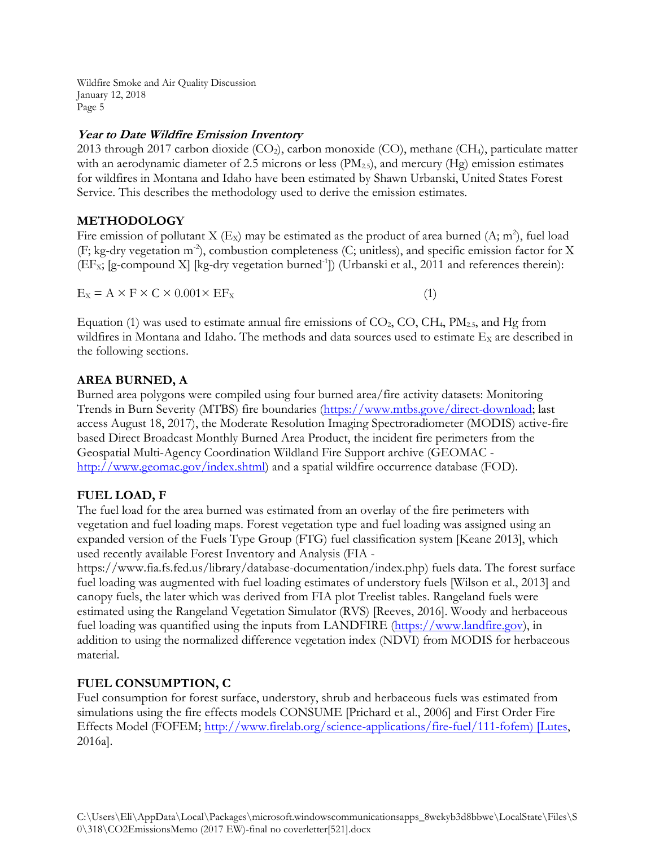## **Year to Date Wildfire Emission Inventory**

2013 through 2017 carbon dioxide (CO<sub>2</sub>), carbon monoxide (CO), methane (CH<sub>4</sub>), particulate matter with an aerodynamic diameter of 2.5 microns or less  $(PM_{2.5})$ , and mercury  $(Hg)$  emission estimates for wildfires in Montana and Idaho have been estimated by Shawn Urbanski, United States Forest Service. This describes the methodology used to derive the emission estimates.

## **METHODOLOGY**

Fire emission of pollutant X (E<sub>X</sub>) may be estimated as the product of area burned (A; m<sup>2</sup>), fuel load (F; kg-dry vegetation m<sup>-2</sup>), combustion completeness (C; unitless), and specific emission factor for X (EF<sub>x</sub>; [g-compound X] [kg-dry vegetation burned<sup>-1</sup>]) (Urbanski et al., 2011 and references therein):

 $E_X = A \times F \times C \times 0.001 \times EF_X$  (1)

Equation (1) was used to estimate annual fire emissions of  $CO<sub>2</sub>, CO, CH<sub>4</sub>, PM<sub>2.5</sub>$ , and Hg from wildfires in Montana and Idaho. The methods and data sources used to estimate  $E<sub>x</sub>$  are described in the following sections.

## **AREA BURNED, A**

Burned area polygons were compiled using four burned area/fire activity datasets: Monitoring Trends in Burn Severity (MTBS) fire boundaries [\(https://www.mtbs.gove/direct-download;](https://www.mtbs.gove/direct-download) last access August 18, 2017), the Moderate Resolution Imaging Spectroradiometer (MODIS) active-fire based Direct Broadcast Monthly Burned Area Product, the incident fire perimeters from the Geospatial Multi-Agency Coordination Wildland Fire Support archive (GEOMAC [http://www.geomac.gov/index.shtml\)](http://www.geomac.gov/index.shtml) and a spatial wildfire occurrence database (FOD).

# **FUEL LOAD, F**

The fuel load for the area burned was estimated from an overlay of the fire perimeters with vegetation and fuel loading maps. Forest vegetation type and fuel loading was assigned using an expanded version of the Fuels Type Group (FTG) fuel classification system [Keane 2013], which used recently available Forest Inventory and Analysis (FIA -

https://www.fia.fs.fed.us/library/database-documentation/index.php) fuels data. The forest surface fuel loading was augmented with fuel loading estimates of understory fuels [Wilson et al., 2013] and canopy fuels, the later which was derived from FIA plot Treelist tables. Rangeland fuels were estimated using the Rangeland Vegetation Simulator (RVS) [Reeves, 2016]. Woody and herbaceous fuel loading was quantified using the inputs from LANDFIRE [\(https://www.landfire.gov\)](https://www.landfire.gov/), in addition to using the normalized difference vegetation index (NDVI) from MODIS for herbaceous material.

# **FUEL CONSUMPTION, C**

Fuel consumption for forest surface, understory, shrub and herbaceous fuels was estimated from simulations using the fire effects models CONSUME [Prichard et al., 2006] and First Order Fire Effects Model (FOFEM; [http://www.firelab.org/science-applications/fire-fuel/111-fofem\) \[Lutes,](http://www.firelab.org/science-applications/fire-fuel/111-fofem)%20%5bLutes) 2016a].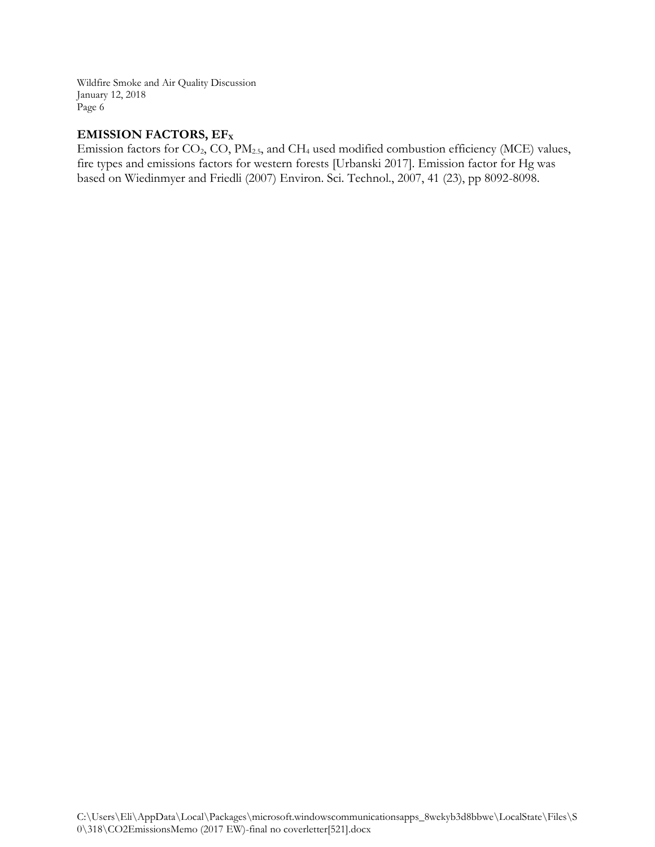## **EMISSION FACTORS, EF<sup>X</sup>**

Emission factors for CO<sub>2</sub>, CO, PM<sub>2.5</sub>, and CH<sub>4</sub> used modified combustion efficiency (MCE) values, fire types and emissions factors for western forests [Urbanski 2017]. Emission factor for Hg was based on Wiedinmyer and Friedli (2007) Environ. Sci. Technol., 2007, 41 (23), pp 8092-8098.